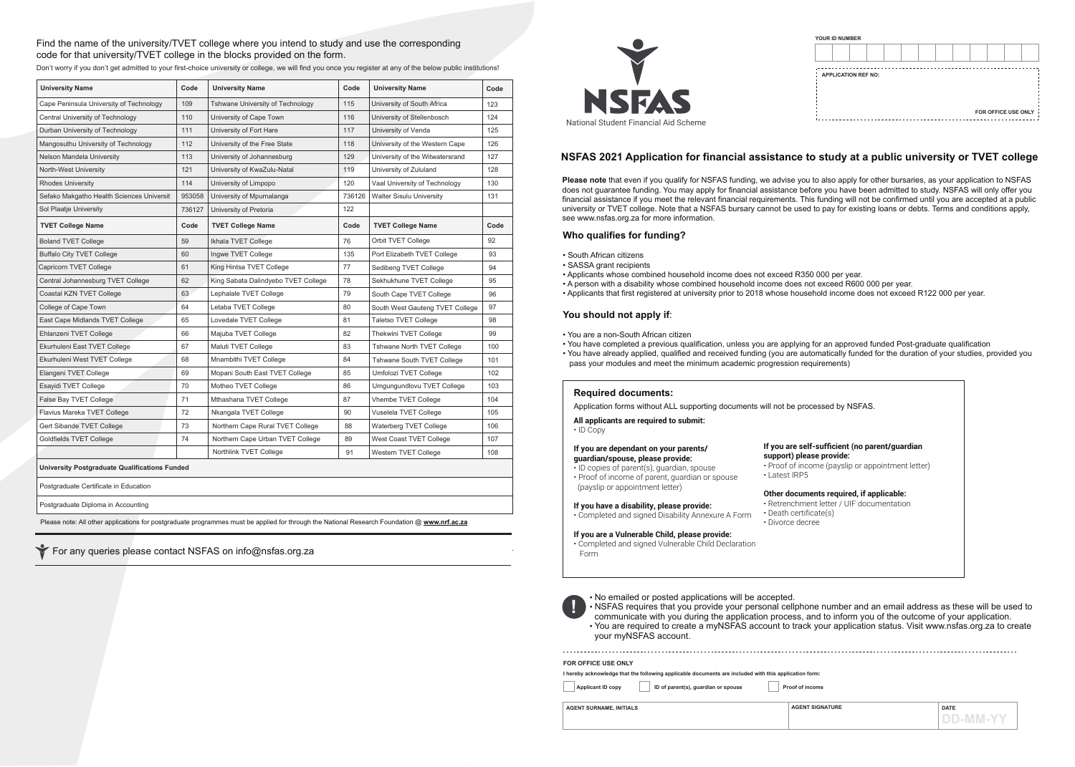**Please note** that even if you qualify for NSFAS funding, we advise you to also apply for other bursaries, as your application to NSFAS does not guarantee funding. You may apply for financial assistance before you have been admitted to study. NSFAS will only offer you financial assistance if you meet the relevant financial requirements. This funding will not be confirmed until you are accepted at a public university or TVET college. Note that a NSFAS bursary cannot be used to pay for existing loans or debts. Terms and conditions apply, see www.nsfas.org.za for more information.

For any queries please contact NSFAS on info@nsfas.org.za

|                          | I hereby acknowledge that the following applicable documents are included with this application form: |                 |
|--------------------------|-------------------------------------------------------------------------------------------------------|-----------------|
| <b>Applicant ID copy</b> | ID of parent(s), guardian or spouse                                                                   | Proof of income |

- 
- 

## Find the name of the university/TVET college where you intend to study and use the corresponding code for that university/TVET college in the blocks provided on the form.

Application forms without ALL supporting documents will not be processed by NSFAS.



# **NSFAS 2021 Application for financial assistance to study at a public university or TVET college**

**AGENT SURNAME, INITIALS** DATE **AGENT SIGNATURE DD-MM-YY**

• No emailed or posted applications will be accepted. your myNSFAS account.

• NSFAS requires that you provide your personal cellphone number and an email address as these will be used to communicate with you during the application process, and to inform you of the outcome of your application. • You are required to create a myNSFAS account to track your application status. Visit www.nsfas.org.za to create

Please note: All other applications for postgraduate programmes must be applied for through the National Research Foundation @ **www.nrf.ac.za**

| <b>FOR OFFICE USE ONLY</b> |  |  |
|----------------------------|--|--|

| <b>University Name</b>                    | Code   | <b>University Name</b>              | Code   | <b>University Name</b>          | Code |
|-------------------------------------------|--------|-------------------------------------|--------|---------------------------------|------|
| Cape Peninsula University of Technology   | 109    | Tshwane University of Technology    | 115    | University of South Africa      | 123  |
| Central University of Technology          | 110    | University of Cape Town             | 116    | University of Stellenbosch      | 124  |
| Durban University of Technology           | 111    | University of Fort Hare             | 117    | University of Venda             | 125  |
| Mangosuthu University of Technology       | 112    | University of the Free State        | 118    | University of the Western Cape  | 126  |
| Nelson Mandela University                 | 113    | University of Johannesburg          | 129    | University of the Witwatersrand | 127  |
| North-West University                     | 121    | University of KwaZulu-Natal         | 119    | University of Zululand          | 128  |
| <b>Rhodes University</b>                  | 114    | University of Limpopo               | 120    | Vaal University of Technology   | 130  |
| Sefako Makgatho Health Sciences Universit | 953058 | University of Mpumalanga            | 736126 | <b>Walter Sisulu University</b> | 131  |
| Sol Plaatje University                    | 736127 | University of Pretoria              | 122    |                                 |      |
| <b>TVET College Name</b>                  | Code   | <b>TVET College Name</b>            | Code   | <b>TVET College Name</b>        | Code |
| <b>Boland TVET College</b>                | 59     | Ikhala TVET College                 | 76     | Orbit TVET College              | 92   |
| <b>Buffalo City TVET College</b>          | 60     | Ingwe TVET College                  | 135    | Port Elizabeth TVET College     | 93   |
| Capricorn TVET College                    | 61     | King Hintsa TVET College            | 77     | Sedibeng TVET College           | 94   |
| Central Johannesburg TVET College         | 62     | King Sabata Dalindyebo TVET College | 78     | Sekhukhune TVET College         | 95   |
| Coastal KZN TVET College                  | 63     | Lephalale TVET College              | 79     | South Cape TVET College         | 96   |
| College of Cape Town                      | 64     | Letaba TVET College                 | 80     | South West Gauteng TVET College | 97   |
| East Cape Midlands TVET College           | 65     | Lovedale TVET College               | 81     | <b>Taletso TVET College</b>     | 98   |
| Ehlanzeni TVET College                    | 66     | Majuba TVET College                 | 82     | Thekwini TVET College           | 99   |
| Ekurhuleni East TVET College              | 67     | Maluti TVET College                 | 83     | Tshwane North TVET College      | 100  |
| Ekurhuleni West TVET College              | 68     | Mnambithi TVET College              | 84     | Tshwane South TVET College      | 101  |
| Elangeni TVET College                     | 69     | Mopani South East TVET College      | 85     | Umfolozi TVET College           | 102  |
| Esayidi TVET College                      | 70     | Motheo TVET College                 | 86     | Umgungundlovu TVET College      | 103  |
| False Bay TVET College                    | 71     | Mthashana TVET College              | 87     | Vhembe TVET College             | 104  |
| Flavius Mareka TVET College               | 72     | Nkangala TVET College               | 90     | Vuselela TVET College           | 105  |
| Gert Sibande TVET College                 | 73     | Northern Cape Rural TVET College    | 88     | Waterberg TVET College          | 106  |
| Goldfields TVET College                   | 74     | Northern Cape Urban TVET College    | 89     | West Coast TVET College         | 107  |
|                                           |        | Northlink TVET College              | 91     | Western TVET College            | 108  |

|  | <b>YOUR ID NUMBER</b> | <b>APPLICATION REF NO:</b> |  |  |  | FOR OFFICE USE ONLY |
|--|-----------------------|----------------------------|--|--|--|---------------------|

Don't worry if you don't get admitted to your first-choice university or college, we will find you once you register at any of the below public institutions!

Postgraduate Diploma in Accounting

Postgraduate Certificate in Education

### **Who qualifies for funding?**

- South African citizens
- SASSA grant recipients
- Applicants whose combined household income does not exceed R350 000 per year.
- A person with a disability whose combined household income does not exceed R600 000 per year.
- Applicants that first registered at university prior to 2018 whose household income does not exceed R122 000 per year.

### **You should not apply if**:

• You have completed a previous qualification, unless you are applying for an approved funded Post-graduate qualification • You have already applied, qualified and received funding (you are automatically funded for the duration of your studies, provided you

- You are a non-South African citizen
- 
- pass your modules and meet the minimum academic progression requirements)

- **All applicants are required to submit:**
- ID Copy

## **If you are dependant on your parents/**

- **guardian/spouse, please provide:** • ID copies of parent(s), guardian, spouse
- Proof of income of parent, guardian or spouse
- (payslip or appointment letter)

#### **If you have a disability, please provide:**

• Completed and signed Disability Annexure A Form

#### **If you are a Vulnerable Child, please provide:**

• Completed and signed Vulnerable Child Declaration Form

#### **Required documents:**

#### **If you are self-sufficient (no parent/guardian support) please provide:**

• Proof of income (payslip or appointment letter) • Latest IRP5

### **Other documents required, if applicable:**

• Retrenchment letter / UIF documentation • Death certificate(s) • Divorce decree